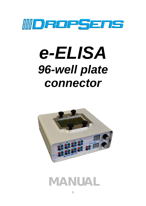

# e-ELISA 96-well plate connector



# **MANUAL**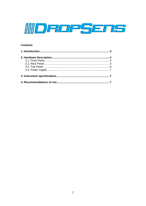

#### **Contents**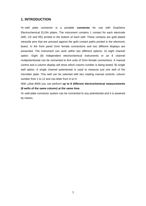## **1. INTRODUCTION**

96−well plate connector is a portable **connector** for use with DropSens Electrochemical ELISA plates. The instrument contains 1 contact for each electrode (WE, CE and RE) printed in the bottom of each well. These contacts are gold plated retractile pins that are pressed against the gold contact paths printed in the electronic board. In the front panel 2mm female connections and two different displays are presented. The instrument can work within two different options: A) eight channel option. Eight (8) independent electrochemical instruments or an 8 channel multipotentiostat can be connected to 8x4 units of 2mm female connections. A manual control and a column display will show which column number is being tested. B) single well option. A single channel potentiostat is used to measure just one well of the microtiter plate. This well can be selected with two rotating manual controls: column number from 1 to 12 and row letter from A to H.

With μStat 8000 you can perform **up to 8 different electrochemical measurements (8 wells of the same column) at the same time**.

96−well plate connector system can be connected to any potentiostat and it is powered by means.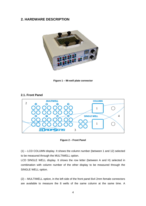# **2. HARDWARE DESCRIPTION**



**Figure 1 – 96-well plate connector** 

#### **2.1. Front Panel**



**Figure 2 – Front Panel** 

(1) – LCD COLUMN display. It shows the column number (between 1 and 12) selected to be measured through the MULTIWELL option.

LCD SINGLE WELL display. It shows the row letter (between A and H) selected in combination with column number of the other display to be measured through the SINGLE WELL option.

(2) – MULTIWELL option, in the left side of the front panel 8x4 2mm female connectors are available to measure the 8 wells of the same column at the same time. A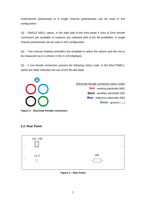multichannel potentiostat or 8 single channel potentiostats can be used in this configuration.

(3) – SINGLE WELL option, in the right side of the front panel 4 units of 2mm female connectors are available to measure any selected well of the 96 posibilities. A single channel potentiostat can be used in this configuration.

(4) – Two manual rotating controllers are available to select the column and the row to be measured (as it is shown in the 2 LCD displays).

(5) – 2 mm female connectors present the following colour code. In the MULITIWELL option the letter indicates the row of the 96-well plate.



*Electrode female connector colour codes* **Red** - working electrode (WE) **Black** - auxiliary electrode (AE) **Blue** - reference electrode (RE) **Green** - ground  $(\frac{\perp}{\equiv})$ 

**Figure 3 – Electrode Female connectors** 

### **2.2. Rear Panel**



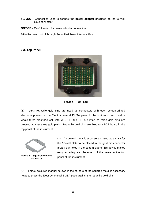- **+12VDC** Connection used to connect the **power adapter** (included) to the 96-well plate connector.
- **ON/OFF** On/Off switch for power adapter connection.
- **SPI** Remote control through Serial Peripheral Interface Bus.

#### **2.3. Top Panel**



**Figure 5 – Top Panel** 

(1) – 96x3 retractile gold pins are used as connectors with each screen-printed electrode present in the Electrochemical ELISA plate. In the bottom of each well a whole three electrode cell with WE, CE and RE is printed so three gold pins are pressed against three gold paths. Retractile gold pins are fixed to a PCB board in the top panel of the instrument.



(2) – A squared metallic accessory is used as a mark for the 96-well plate to be placed in the gold pin connector area. Four holes in the bottom side of this device makes easy an adequate placement of the same in the top panel of the instrument.

(3) – 4 black coloured manual screws in the corners of the squared metallic accessory helps to press the Electrochemical ELISA plate against the retractile gold pins.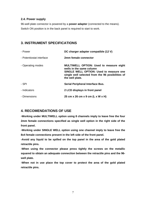#### **2.4. Power supply**

96-well plate connector is powered by a **power adapter** (connected to the means). Switch ON position is in the back panel is required to start to work.

# **3. INSTRUMENT SPECIFICATIONS**

| - Power                  | DC charger adapter compatible (12 V)                                                                                                                                                         |
|--------------------------|----------------------------------------------------------------------------------------------------------------------------------------------------------------------------------------------|
| - Potentiostat interface | 2mm female connector                                                                                                                                                                         |
| - Operating modes        | <b>MULTIWELL OPTION: Used to measure eight</b><br>wells in the same column<br>SINGLE WELL OPTION: Used to measure one<br>single well selected from the 96 posibilities of<br>the well plate. |
| - SPI                    | Serial Peripheral Interface Bus.                                                                                                                                                             |
| - Indicators             | 2 LCD displays in front panel                                                                                                                                                                |
| - Dimensions             | 25 cm x 26 cm x 9 cm (L x W x H)                                                                                                                                                             |

# **4. RECOMENDATIONS OF USE**

**-Working under MULTIWELL option using 8 channels imply to leave free the four 2mm female connections specified as single well option in the right side of the front panel.** 

**-Working under SINGLE WELL option using one channel imply to leave free the 8x4 female connections present in the left side of the front panel.** 

**-Avoid any liquid to be spilled on the top panel in the area of the gold plated retractile pins.** 

**-When using the connector please press tightly the screws on the metallic squared to obtain an adequate connection between the retractile pins and the 96 well plate.** 

**-When not in use place the top cover to protect the area of the gold plated retractile pins.**